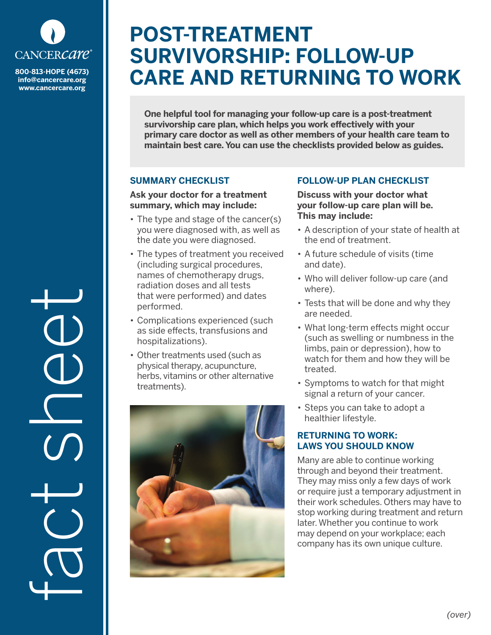

**info@cancercare.org www.cancercare.org**

fact see

# **POST-TREATMENT SURVIVORSHIP: FOLLOW-UP CARE AND RETURNING TO WORK**

**One helpful tool for managing your follow-up care is a post-treatment survivorship care plan, which helps you work effectively with your primary care doctor as well as other members of your health care team to maintain best care. You can use the checklists provided below as guides.**

## **SUMMARY CHECKLIST**

## **Ask your doctor for a treatment summary, which may include:**

- The type and stage of the cancer(s) you were diagnosed with, as well as the date you were diagnosed.
- The types of treatment you received (including surgical procedures, names of chemotherapy drugs, radiation doses and all tests that were performed) and dates performed.
- Complications experienced (such as side effects, transfusions and hospitalizations).
- Other treatments used (such as physical therapy, acupuncture, herbs, vitamins or other alternative treatments).



## **FOLLOW-UP PLAN CHECKLIST**

**Discuss with your doctor what your follow-up care plan will be. This may include:**

- A description of your state of health at the end of treatment.
- A future schedule of visits (time and date).
- Who will deliver follow-up care (and where).
- Tests that will be done and why they are needed.
- What long-term effects might occur (such as swelling or numbness in the limbs, pain or depression), how to watch for them and how they will be treated.
- Symptoms to watch for that might signal a return of your cancer.
- Steps you can take to adopt a healthier lifestyle.

### **RETURNING TO WORK: LAWS YOU SHOULD KNOW**

Many are able to continue working through and beyond their treatment. They may miss only a few days of work or require just a temporary adjustment in their work schedules. Others may have to stop working during treatment and return later. Whether you continue to work may depend on your workplace; each company has its own unique culture.